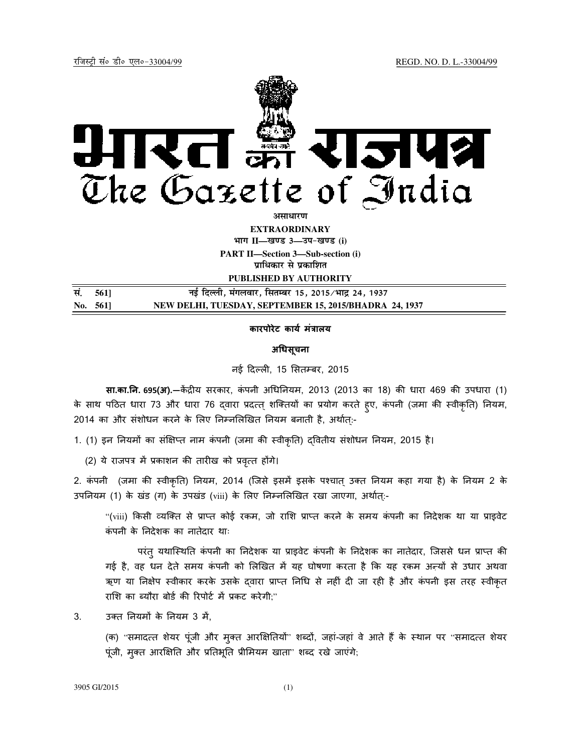

**EXTRAORDINARY**

**Hkkx II—[k.M 3—mi&[k.M (i)**

**PART II—Section 3—Sub-section (i) प्राधिकार से प्रकाशित** 

**PUBLISHED BY AUTHORITY**

| सं. 561] | नई दिल्ली, मंगलवार, सितम्बर 15, 2015/भाद्र 24, 1937    |
|----------|--------------------------------------------------------|
| No. 561  | NEW DELHI, TUESDAY, SEPTEMBER 15, 2015/BHADRA 24, 1937 |

## **कारपोरेट काय मं
ालय**

# **अधसूचना**

नई दिल्ली, 15 सितम्बर, 2015

**सा.का.नि. 695(अ).—कें**द्रीय सरकार, कंपनी अधिनियम, 2013 (2013 का 18) की धारा 469 की उपधारा (1) के साथ पठित धारा 73 और धारा 76 द्वारा प्रदत्त् शक्तियों का प्रयोग करते हुए, कंपनी (जमा की स्वीकृति) नियम, 2014 का और संशोधन करने के लिए निम्नलिखित नियम बनाती है, अर्थात्:-

1. (1) इन नियमों का संक्षिप्त नाम कंपनी (जमा की स्वीकृति) दवितीय संशोधन नियम, 2015 है।

(2) ये राजपत्र में प्रकाशन की तारीख को प्रवृत्त होंगे।

2. कंपनी (जमा की स्वीकृति) नियम, 2014 (जिसे इसमें इसके पश्चात् उक्त नियम कहा गया है) के नियम 2 के उपनियम (1) के खंड (ग) के उपखंड (viii) के लिए निम्नलिखित रखा जाएगा, अर्थात्:-

"(viii) किसी व्यक्ति से प्राप्त कोई रकम, जो राशि प्राप्त करने के समय कंपनी का निदेशक था या प्राइवेट कं पनी के नदेशक का नातेदार थाः

परंत् यथास्थिति कंपनी का निदेशक या प्राइवेट कंपनी के निदेशक का नातेदार, जिससे धन प्राप्त की गई है, वह धन देते समय कंपनी को लिखित में यह घोषणा करता है कि यह रकम अल्यों से उधार अथवा ऋण या निक्षेप स्वीकार करके उसके दवारा प्राप्त निधि से नहीं दी जा रही है और कंपनी इस तरह स्वीकृत राशि का ब्यौरा बोर्ड की रिपोर्ट में प्रकट करेगी;"

3. उक्त नियमों के नियम 3 में,

(क) "समादत्त शेयर पूंजी और मुक्त आरक्षितियों" शब्दों, जहां-जहां वे आते हैं के स्थान पर "समादत्त शेयर पूंजी, मुक्त आरक्षिति और प्रतिभूति प्रीमियम खाता" शब्द रखे जाएंगे;